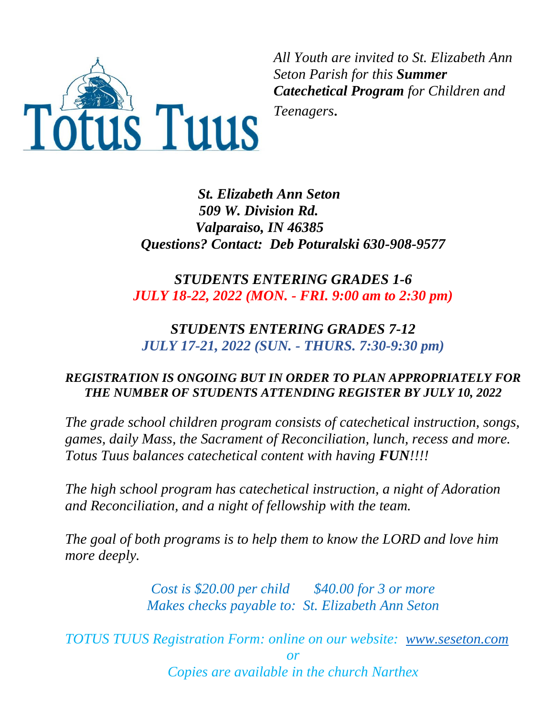

*All Youth are invited to St. Elizabeth Ann Seton Parish for this Summer Catechetical Program for Children and* 

*Teenagers.*

*St. Elizabeth Ann Seton 509 W. Division Rd. Valparaiso, IN 46385 Questions? Contact: Deb Poturalski 630-908-9577*

# *STUDENTS ENTERING GRADES 1-6 JULY 18-22, 2022 (MON. - FRI. 9:00 am to 2:30 pm)*

# *STUDENTS ENTERING GRADES 7-12 JULY 17-21, 2022 (SUN. - THURS. 7:30-9:30 pm)*

## *REGISTRATION IS ONGOING BUT IN ORDER TO PLAN APPROPRIATELY FOR THE NUMBER OF STUDENTS ATTENDING REGISTER BY JULY 10, 2022*

*The grade school children program consists of catechetical instruction, songs, games, daily Mass, the Sacrament of Reconciliation, lunch, recess and more. Totus Tuus balances catechetical content with having FUN!!!!* 

*The high school program has catechetical instruction, a night of Adoration and Reconciliation, and a night of fellowship with the team.* 

*The goal of both programs is to help them to know the LORD and love him more deeply.*

> *Cost is \$20.00 per child \$40.00 for 3 or more Makes checks payable to: St. Elizabeth Ann Seton*

*TOTUS TUUS Registration Form: online on our website: [www.seseton.com](http://www.seseton.com/) or Copies are available in the church Narthex*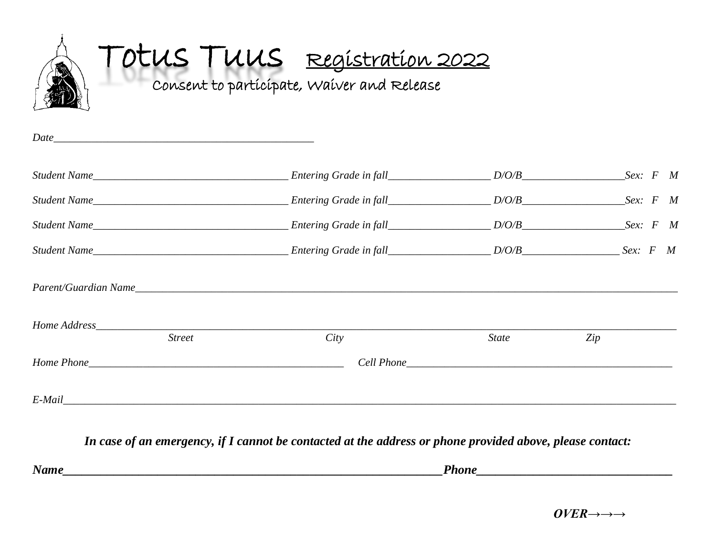

A TOTUS TUUS Registration 2022

Consent to participate, Waiver and Release

| $Date$ and $Date$ and $Date$ and $Date$ and $Date$ and $Date$ and $Date$ and $Date$ and $Date$ and $Date$ and $Date$ and $Date$ and $Date$ and $Date$ and $Date$ and $Date$ and $Date$ and $Date$ and $Date$ and $Date$ and $Date$ and $Date$ and $Date$ and $Date$ and $Date$ and $Date$ and $Date$ and $Date$ a |               |                                          |              |     |  |  |
|-------------------------------------------------------------------------------------------------------------------------------------------------------------------------------------------------------------------------------------------------------------------------------------------------------------------|---------------|------------------------------------------|--------------|-----|--|--|
|                                                                                                                                                                                                                                                                                                                   |               | Student Name Summe Student Name Sex: F M |              |     |  |  |
|                                                                                                                                                                                                                                                                                                                   |               | Student Name Summe Student Name Sex: F M |              |     |  |  |
|                                                                                                                                                                                                                                                                                                                   |               | Student Name Summe Student Name Sex: F M |              |     |  |  |
|                                                                                                                                                                                                                                                                                                                   |               |                                          |              |     |  |  |
|                                                                                                                                                                                                                                                                                                                   |               | Parent/Guardian Name                     |              |     |  |  |
|                                                                                                                                                                                                                                                                                                                   |               |                                          |              |     |  |  |
|                                                                                                                                                                                                                                                                                                                   | <b>Street</b> | City                                     | <b>State</b> | Zip |  |  |
|                                                                                                                                                                                                                                                                                                                   |               |                                          |              |     |  |  |
| E-Mail                                                                                                                                                                                                                                                                                                            |               |                                          |              |     |  |  |

*In case of an emergency, if I cannot be contacted at the address or phone provided above, please contact:*

*Name\_\_\_\_\_\_\_\_\_\_\_\_\_\_\_\_\_\_\_\_\_\_\_\_\_\_\_\_\_\_\_\_\_\_\_\_\_\_\_\_\_\_\_\_\_\_\_\_\_\_\_\_\_\_\_\_\_\_\_\_Phone\_\_\_\_\_\_\_\_\_\_\_\_\_\_\_\_\_\_\_\_\_\_\_\_\_\_\_\_\_\_\_*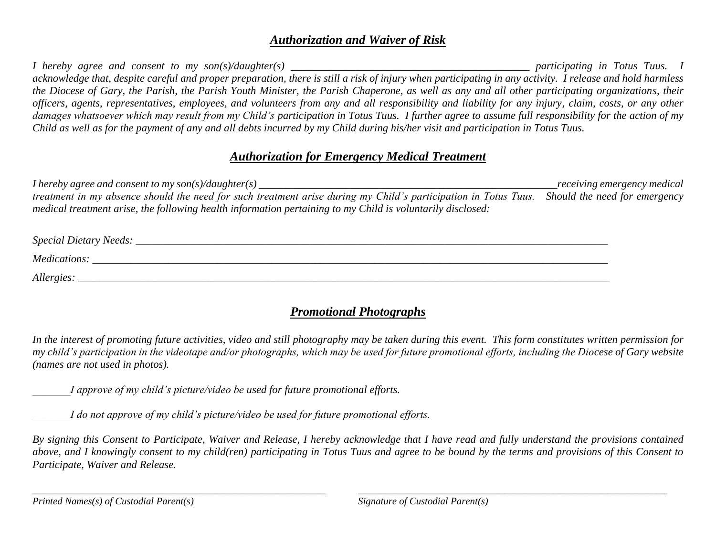#### *Authorization and Waiver of Risk*

*I hereby agree and consent to my son(s)/daughter(s) \_\_\_\_\_\_\_\_\_\_\_\_\_\_\_\_\_\_\_\_\_\_\_\_\_\_\_\_\_\_\_\_\_\_\_\_\_\_\_\_\_\_\_\_ participating in Totus Tuus. I*  acknowledge that, despite careful and proper preparation, there is still a risk of injury when participating in any activity. I release and hold harmless *the Diocese of Gary, the Parish, the Parish Youth Minister, the Parish Chaperone, as well as any and all other participating organizations, their officers, agents, representatives, employees, and volunteers from any and all responsibility and liability for any injury, claim, costs, or any other damages whatsoever which may result from my Child's participation in Totus Tuus. I further agree to assume full responsibility for the action of my Child as well as for the payment of any and all debts incurred by my Child during his/her visit and participation in Totus Tuus.* 

### *Authorization for Emergency Medical Treatment*

*I hereby agree and consent to my son(s)/daughter(s) \_\_\_\_\_\_\_\_\_\_\_\_\_\_\_\_\_\_\_\_\_\_\_\_\_\_\_\_\_\_\_\_\_\_\_\_\_\_\_\_\_\_\_\_\_\_\_\_\_\_\_\_\_\_\_receiving emergency medical treatment in my absence should the need for such treatment arise during my Child's participation in Totus Tuus. Should the need for emergency medical treatment arise, the following health information pertaining to my Child is voluntarily disclosed:*

| Special Dietary Needs: |  |
|------------------------|--|
| Medications:           |  |
| Allergies:             |  |

## *Promotional Photographs*

*In the interest of promoting future activities, video and still photography may be taken during this event. This form constitutes written permission for my child's participation in the videotape and/or photographs, which may be used for future promotional efforts, including the Diocese of Gary website (names are not used in photos).*

*I approve of my child's picture/video be used for future promotional efforts.* 

*I do not approve of my child's picture/video be used for future promotional efforts.* 

*By signing this Consent to Participate, Waiver and Release, I hereby acknowledge that I have read and fully understand the provisions contained above, and I knowingly consent to my child(ren) participating in Totus Tuus and agree to be bound by the terms and provisions of this Consent to Participate, Waiver and Release.*

*\_\_\_\_\_\_\_\_\_\_\_\_\_\_\_\_\_\_\_\_\_\_\_\_\_\_\_\_\_\_\_\_\_\_\_\_\_\_\_\_\_\_\_\_\_\_\_\_\_\_\_\_\_\_ \_\_\_\_\_\_\_\_\_\_\_\_\_\_\_\_\_\_\_\_\_\_\_\_\_\_\_\_\_\_\_\_\_\_\_\_\_\_\_\_\_\_\_\_\_\_\_\_\_\_\_\_\_\_\_\_\_*

*Printed Names(s) of Custodial Parent(s) Signature of Custodial Parent(s)*